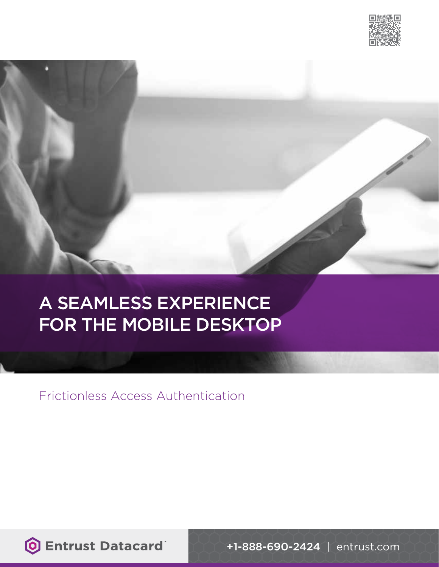



# A SEAMLESS EXPERIENCE FOR THE MOBILE DESKTOP

Frictionless Access Authentication

**O Entrust Datacard** 

+1-888-690-2424 | entrust.com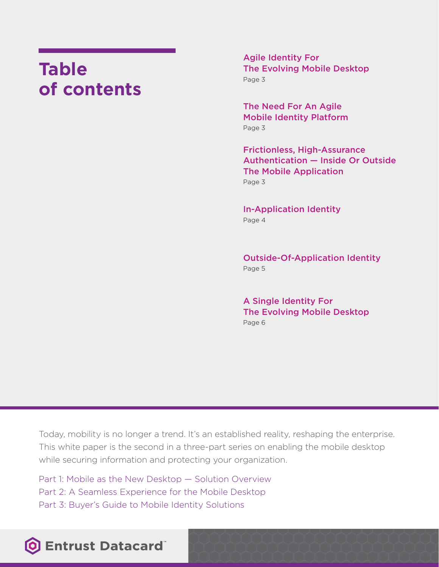## **Table of contents**

Agile Identity For The Evolving Mobile Desktop Page 3

The Need For An Agile Mobile Identity Platform Page 3

Frictionless, High-Assurance Authentication — Inside Or Outside The Mobile Application Page 3

In-Application Identity Page 4

Outside-Of-Application Identity Page 5

A Single Identity For The Evolving Mobile Desktop Page 6

Today, mobility is no longer a trend. It's an established reality, reshaping the enterprise. This white paper is the second in a three-part series on enabling the mobile desktop while securing information and protecting your organization.

Part 1: Mobile as the New Desktop — Solution Overview Part 2: A Seamless Experience for the Mobile Desktop Part 3: Buyer's Guide to Mobile Identity Solutions

### **O Entrust Datacard**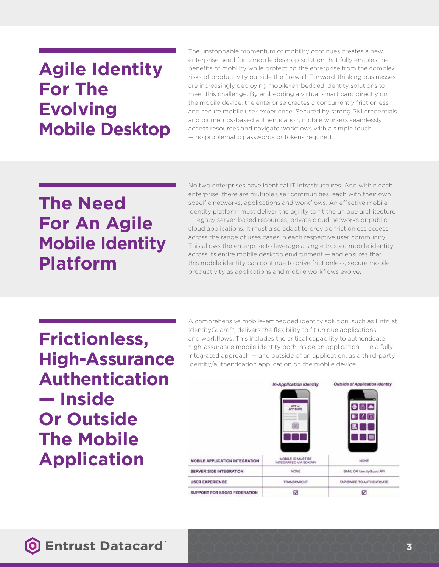### **Agile Identity For The Evolving Mobile Desktop**

The unstoppable momentum of mobility continues creates a new enterprise need for a mobile desktop solution that fully enables the benefits of mobility while protecting the enterprise from the complex risks of productivity outside the firewall. Forward-thinking businesses are increasingly deploying mobile-embedded identity solutions to meet this challenge. By embedding a virtual smart card directly on the mobile device, the enterprise creates a concurrently frictionless and secure mobile user experience: Secured by strong PKI credentials and biometrics-based authentication, mobile workers seamlessly access resources and navigate workflows with a simple touch — no problematic passwords or tokens required.

### **The Need For An Agile Mobile Identity Platform**

No two enterprises have identical IT infrastructures. And within each enterprise, there are multiple user communities, each with their own specific networks, applications and workflows. An effective mobile identity platform must deliver the agility to fit the unique architecture — legacy server-based resources, private cloud networks or public cloud applications. It must also adapt to provide frictionless access across the range of uses cases in each respective user community. This allows the enterprise to leverage a single trusted mobile identity across its entire mobile desktop environment — and ensures that this mobile identity can continue to drive frictionless, secure mobile productivity as applications and mobile workflows evolve.

**Frictionless, High-Assurance Authentication — Inside Or Outside The Mobile Application**

A comprehensive mobile-embedded identity solution, such as Entrust IdentityGuard™, delivers the flexibility to fit unique applications and workflows. This includes the critical capability to authenticate high-assurance mobile identity both inside an application — in a fully integrated approach — and outside of an application, as a third-party identity/authentication application on the mobile device.

|                                | In-Application Identity                     | Outside of Application Identity |
|--------------------------------|---------------------------------------------|---------------------------------|
|                                | APP or<br>APP SUITE<br>®.                   | 98 A<br>o                       |
| MOBILE APPLICATION INTEGRATION | MOBILE ID MUST BE<br>INTEGRATED VIA SOKIAPI | <b>NONE</b>                     |
| <b>SERVER SIDE INTEGRATION</b> | <b>NONE</b>                                 | SAML OR IdentityGuard AP1       |
| <b>USER EXPERIENCE</b>         | <b>TRANSPARENT</b>                          | TAP/SWIPE TO AUTHENTICATE       |
| SUPPORT FOR SSO/ID FEDERATION  | ☑                                           | ⊠                               |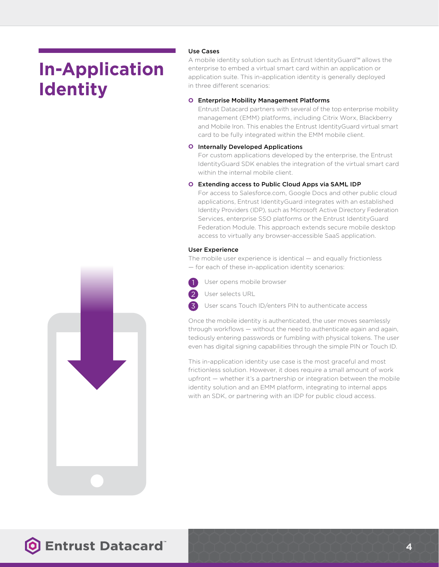# **In-Application Identity**

#### Use Cases

A mobile identity solution such as Entrust IdentityGuard™ allows the enterprise to embed a virtual smart card within an application or application suite. This in-application identity is generally deployed in three different scenarios:

#### **O** Enterprise Mobility Management Platforms

Entrust Datacard partners with several of the top enterprise mobility management (EMM) platforms, including Citrix Worx, Blackberry and Mobile Iron. This enables the Entrust IdentityGuard virtual smart card to be fully integrated within the EMM mobile client.

#### **O** Internally Developed Applications

For custom applications developed by the enterprise, the Entrust IdentityGuard SDK enables the integration of the virtual smart card within the internal mobile client.

#### **O** Extending access to Public Cloud Apps via SAML IDP

For access to Salesforce.com, Google Docs and other public cloud applications, Entrust IdentityGuard integrates with an established Identity Providers (IDP), such as Microsoft Active Directory Federation Services, enterprise SSO platforms or the Entrust IdentityGuard Federation Module. This approach extends secure mobile desktop access to virtually any browser-accessible SaaS application.

#### User Experience

The mobile user experience is identical — and equally frictionless — for each of these in-application identity scenarios:



2 3 **O** User opens mobile browser



User scans Touch ID/enters PIN to authenticate access

Once the mobile identity is authenticated, the user moves seamlessly through workflows — without the need to authenticate again and again, tediously entering passwords or fumbling with physical tokens. The user even has digital signing capabilities through the simple PIN or Touch ID.

This in-application identity use case is the most graceful and most frictionless solution. However, it does require a small amount of work upfront — whether it's a partnership or integration between the mobile identity solution and an EMM platform, integrating to internal apps with an SDK, or partnering with an IDP for public cloud access.

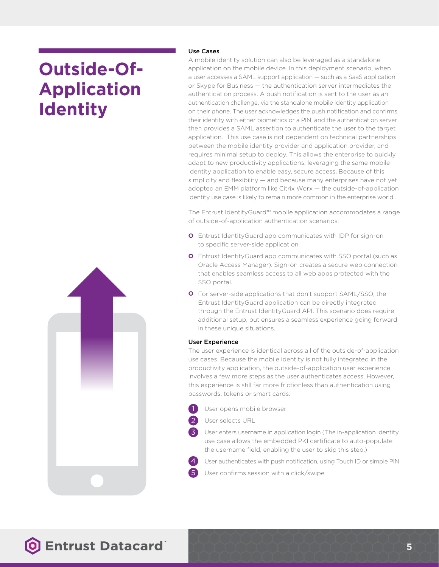# **Outside-Of-Application Identity**



### Use Cases

A mobile identity solution can also be leveraged as a standalone application on the mobile device. In this deployment scenario, when a user accesses a SAML support application — such as a SaaS application or Skype for Business — the authentication server intermediates the authentication process. A push notification is sent to the user as an authentication challenge, via the standalone mobile identity application on their phone. The user acknowledges the push notification and confirms their identity with either biometrics or a PIN, and the authentication server then provides a SAML assertion to authenticate the user to the target application. This use case is not dependent on technical partnerships between the mobile identity provider and application provider, and requires minimal setup to deploy. This allows the enterprise to quickly adapt to new productivity applications, leveraging the same mobile identity application to enable easy, secure access. Because of this simplicity and flexibility — and because many enterprises have not yet adopted an EMM platform like Citrix Worx — the outside-of-application identity use case is likely to remain more common in the enterprise world.

The Entrust IdentityGuard™ mobile application accommodates a range of outside-of-application authentication scenarios:

- **O** Entrust IdentityGuard app communicates with IDP for sign-on to specific server-side application
- **O** Entrust IdentityGuard app communicates with SSO portal (such as Oracle Access Manager). Sign-on creates a secure web connection that enables seamless access to all web apps protected with the SSO portal.
- **O** For server-side applications that don't support SAML/SSO, the Entrust IdentityGuard application can be directly integrated through the Entrust IdentityGuard API. This scenario does require additional setup, but ensures a seamless experience going forward in these unique situations.

#### User Experience

The user experience is identical across all of the outside-of-application use cases. Because the mobile identity is not fully integrated in the productivity application, the outside-of-application user experience involves a few more steps as the user authenticates access. However, this experience is still far more frictionless than authentication using passwords, tokens or smart cards.

**O** User opens mobile browser 1

2

3

4

5

**O** User selects URL

**O** User enters username in application login (The in-application identity use case allows the embedded PKI certificate to auto-populate the username field, enabling the user to skip this step.)

**O** User authenticates with push notification, using Touch ID or simple PIN

**O** User confirms session with a click/swipe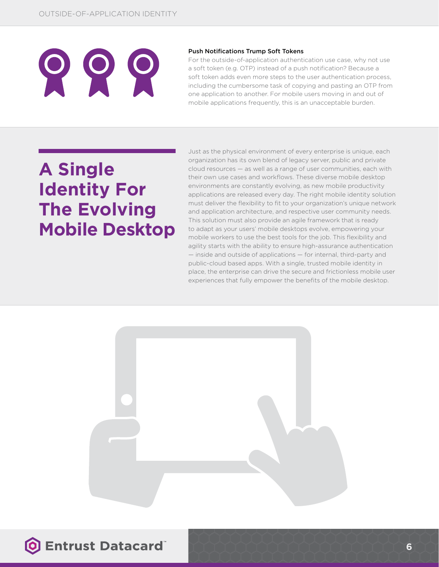#### Push Notifications Trump Soft Tokens

For the outside-of-application authentication use case, why not use a soft token (e.g. OTP) instead of a push notification? Because a soft token adds even more steps to the user authentication process, including the cumbersome task of copying and pasting an OTP from one application to another. For mobile users moving in and out of mobile applications frequently, this is an unacceptable burden.

# **A Single Identity For The Evolving Mobile Desktop**

Just as the physical environment of every enterprise is unique, each organization has its own blend of legacy server, public and private cloud resources — as well as a range of user communities, each with their own use cases and workflows. These diverse mobile desktop environments are constantly evolving, as new mobile productivity applications are released every day. The right mobile identity solution must deliver the flexibility to fit to your organization's unique network and application architecture, and respective user community needs. This solution must also provide an agile framework that is ready to adapt as your users' mobile desktops evolve, empowering your mobile workers to use the best tools for the job. This flexibility and agility starts with the ability to ensure high-assurance authentication — inside and outside of applications — for internal, third-party and public-cloud based apps. With a single, trusted mobile identity in place, the enterprise can drive the secure and frictionless mobile user experiences that fully empower the benefits of the mobile desktop.